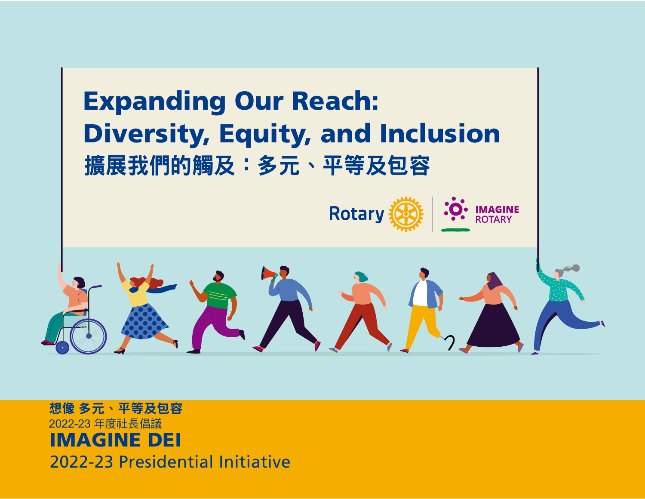

IMAGINE DEI 2022-23 Presidential Initiative 想像 多元、平等及包容 2022-23 年度社長倡議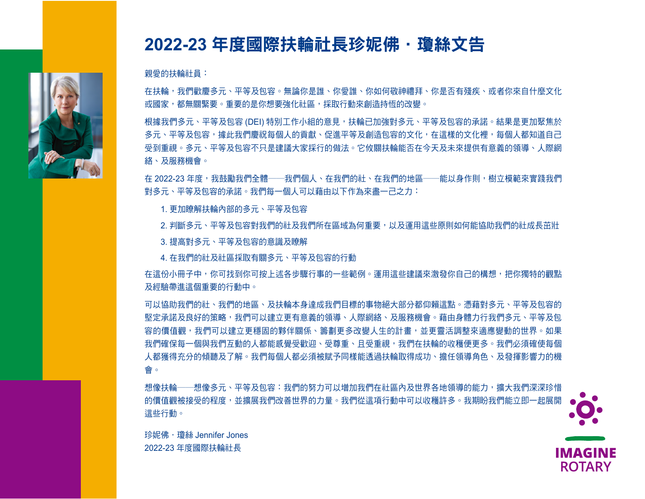

# 2022-23 年度國際扶輪社長珍妮佛 · 瓊絲文告

親愛的扶輪社員:

在扶輪,我們歡慶多元、平等及包容。無論你是誰、你愛誰、你如何敬神禮拜、你是否有殘疾、或者你來自什麼文化 或國家,都無關緊要。重要的是你想要強化社區,採取行動來創造持恆的改變。

根據我們多元、平等及包容 (DEI) 特別工作小組的意見,扶輪已加強對多元、平等及包容的承諾。結果是更加聚焦於 多元、平等及包容,據此我們慶祝每個人的貢獻、促進平等及創造包容的文化,在這樣的文化裡,每個人都知道自己 受到重視。多元、平等及包容不只是建議大家採行的做法。它攸關扶輪能否在今天及未來提供有意義的領導、人際網 advance equity, and create an inclusive culture where every person knows they are valued. DEI is not to recommended providing  $\mathcal{P}$  is necessary to Rotary's success in providing means  $\mathcal{P}$ 絡、及服務機會。

在 2022-23 年度,我鼓勵我們全體——我們個人、在我們的社、在我們的地區——能以身作則,樹立模範來實踐我們 對多元、平等及包容的承諾。我們每一個人可以藉由以下作為來盡一己之力:

 $\alpha$  , 西加睦納井检毒部的タニ,立竺卫有它 1. 更加瞭解扶輪內部的多元、平等及包容<br>-

2. 判斷多元、平等及包容對我們的社及我們所在區域為何重要,以及運用這些原則如何能協助我們的社成長茁壯

principles can help our club grow  $\tau$  can help our club grow  $\tau$  and  $\tau$  and  $\tau$ 3. 提高對多元、平等及包容的意識及瞭解

4. 在我們的社及社區採取有關多元、平等及包容的行動

在這份小冊子中,你可找到你可按上述各步驟行事的一些範例。運用這些建議來激發你自己的構想,把你獨特的觀點 to spark your own ideas and bring your unique perspectives and experiences to this vital endeavor. 及經驗帶進這個重要的行動中。

可以協助我們的社、我們的地區、及扶輪本身達成我們目標的事物絕大部分都仰賴這點。憑藉對多元、平等及包容的 堅定承諾及良好的策略,我們可以建立更有意義的領導、人際網絡、及服務機會。藉由身體力行我們多元、平等及包 networking, and service opportunities for all of us. By embodying our DeI values, we can build stronger our DE<br>By embody the stronger black in the can build stronger of the stronger of us. By embodying the stronger of us. 容的價值觀,我們可以建立更穩固的夥伴關係、籌劃更多改變人生的計畫,並更靈活調整來適應變動的世界。如果<br> 我們確保每一個與我們互動的人都能感覺受歡迎、受尊重、且受重視,我們在扶輪的收穫便更多。我們必須確使每個 人都獲得充分的傾聽及了解。我們每個人都必須被賦予同樣能透過扶輪取得成功、擔任領導角色、及發揮影響力的機 of us must be given the same opportunities to succeed, to succeed, and to make an impact through Rotary. The same opportunities to  $\alpha$ 會。

想像扶輪──想像多元、平等及包容:我們的努力可以增加我們在社區內及世界各地領導的能力,擴大我們深深珍惜 s<br>sporter will be world broaden acceptance of values that will be we hold deep that will expand our power power to change the world for the better. We all have so much to gain from this effort. I can't wait for us to 的價值觀被接受的程度,並擴展我們改善世界的力量。我們從這項行動中可以收穫許多。我期盼我們能立即一起展開 這些行動。



**ROTARY** 

珍妮佛 · 瓊絲 Jennifer Jones 2022-23 年度國際扶輪社長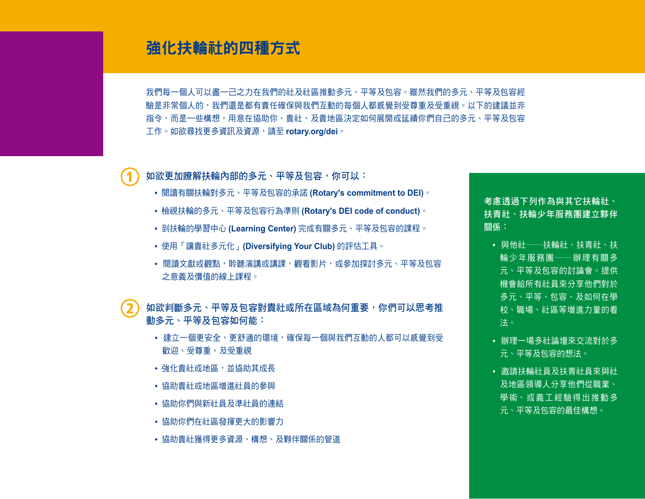## 強化扶輪社的四種方式

我們每一個人可以盡一己之力在我們的社及社區推動多元、平等及包容。雖然我們的多元、平等及包容經 驗是非常個人的,我們還是都有責任確保與我們互動的每個人都感覺到受尊重及受重視。以下的建議並非 指令,而是一些構想,用意在協助你、貴社、及貴地區決定如何展開或延續你們自己的多元、平等及包容 meant to help you, your club, and your district decide how to start or continue your own DEI work. 工作。如欲尋找更多資訊及資源,請至 **rotary.org/dei**。

如欲更加瞭解扶輪內部的多元、平等及包容,你可以:

- 閱讀有關扶輪對多元丶平等及包容的承諾 **(Rotary's commitment to DEI)** ◇
- 檢視扶輪的多元丶平等及包容行為準則 **(Rotary's DEI code of conduct)**。
- 到扶輪的學習中心 **(Learning Center)** 完成有關多元、平等及包容的課程。
- •使用「讓貴社多元化」**(Diversifying Your Club)** 的評估工具。
- 閱讀文獻或觀點,聆聽演講或講課,觀看影片,或參加探討多元、平等及包容 watch videos, or take only take online courses that explore the meaning that explore the meaning that explore the meaning of the meaning of the meaning of the meaning of the meaning of the meaning of the meaning of the mea 之意義及價值的線上課程。<br>-

如欲判斷多元、平等及包容對貴社或所在區域為何重要,你們可以思考推 **own area, you might consider how advancing DEI can:** 動多元、平等及包容如何能:

- 建立一個更安全、更舒適的環境,確保每一個與我們互動的人都可以感覺到受 歡迎、受尊重、及受重視。
- 強化貴社或地區,並協助其成長
- 協助貴社或地區增進社員的參與
- 協助你們與新社員及準社員的連結
- 協助你們在社區發揮更大的影響力
- 協助貴社獲得更多資源、構想、及夥伴關係的管道

**Consider partnering with**  考慮透過下列作為與其它扶輪社、 **other Rotary, Rotaract,**  扶青社、扶輪少年服務團建立夥伴 or Interact comp<mark>關係:</mark>

- 與他社──扶輪社、扶青社、扶  $\mathcal{L}$  is the contract of  $\mathcal{L}$  . The contract of  $\mathcal{L}$  is  $\mathcal{L}$  is the contract of  $\mathcal{L}$ 輪少年服務團──辦理有關多<br>-元、平等及包容的討論會。提供 機會給所有社員來分享他們對於 多元、平等、包容、及如何在學 equity, including the control of the control of the control of the control of the control of the control of th<br>The control of the control of the control of the control of the control of the control of the control of the c 校<sup>、</sup>職場、社區等增進力量的看  $\mathbf{x} \circ \mathbf{y} = \mathbf{y} \circ \mathbf{y}$ 法。
- 辦理一場多社論壇來交流對於多 元、平等及包容的想法。
- Inviting Rotarians and 及地區領導人分享他們從職業、 Rotaractors to share the 學術丶或義工經驗得出推動多 元、平等及包容的最佳構想。 • 邀請扶輪社員及扶青社員來與社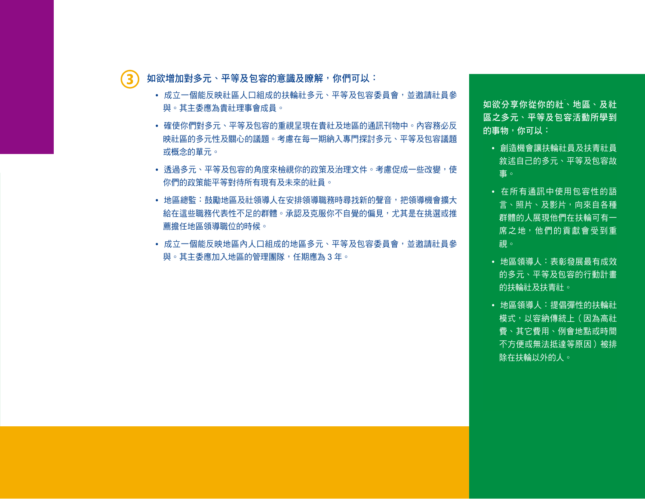如欲增加對多元、平等及包容的意識及瞭解,你們可以**:** 

- **·** 成立一個能反映社區人口組成的扶輪社多元、平等及包容委員會,並邀請社員參 與。其主委應為貴社理事會成員。
	- $\#$ 仿雕 $\#$ 女工,亚竺卫有索的手担日珀无事社卫地回的通訊刊频声,市索致。 on your club's board. • 確使你們對多元、平等及包容的重視呈現在貴社及地區的通訊刊物中。內容務必反 • Make sure that your focus on DEI is reflected in your club and district 或概念的單元。 newsletters. Feature content that reflects that reflects that reflects the diversity and is  $\mathcal{L}_\text{max}$ 映社區的多元性及關心的議題。考慮在每一期納入專門探討多元、平等及包容議題
	- 透過多元、平等及包容的角度來檢視你的政策及治理文件。考慮促成一些改變,使 你們的政策能平等對待所有現有及未來的社員。
	- 地區總監:鼓勵地區及社領導人在安排領導職務時尋找新的聲音,把領導機會擴大  $\mathbb{C}$  consider changes that will make your policies experience in the current of all current for all current  $\mathbb{C}$ 給在這些職務代表性不足的群體。承認及克服你不自覺的偏見,尤其是在挑選或推  $\mathcal{L} = \mathcal{L} = \mathcal{L} \times \mathcal{L}$  and club leaders to see k out new seek out new seek out new seek out new seek out new seek out new seek out new seek out new seek out new seek out new seek out new seek out new seek out new 薦擔任地區領導職位的時候。
	- 成立一個能反映地區內人口組成的地區多元、平等及包容委員會,並邀請社員參 與。其主委應加入地區的管理團隊,任期應為 3 年。

**To share what you learn**  如欲分享你從你的社、地區、及社 **from your club, district,**  區之多元、平等及包容活動所學到 **and community DEI activities,**  的事物,你可以:<br>

- 創造機會讓扶輪社員及扶青社員 敘述自己的多元、平等及包容故  $\bar{\mathbf{g}}$ 。
- 在所有通訊中使用包容性的語 言、照片、及影片,向來自各種 communications to show 群體的人展現他們在扶輪可有<mark>一</mark> 席之地,他們的貢獻會受到重 視。 that their contributions  $\mathbb{R}^n$
- District leaders: Recognize 的多元、平等及包容的行動計畫 Rotary and Rotaract clubs 的扶輪社及扶青社。<br>一 • 地區領導人:表彰發展最有成效
- 地區領導人:提倡彈性的扶輪社 · 模式,以容納傳統上(因為高社 費、其它費用、例會地點或時間 。<br><del>《十</del>年式価汁化法竺店口〉 <del>M</del> 不方便或無法抵達等原因 )被排 除在扶輪以外的人。<br>————————————————————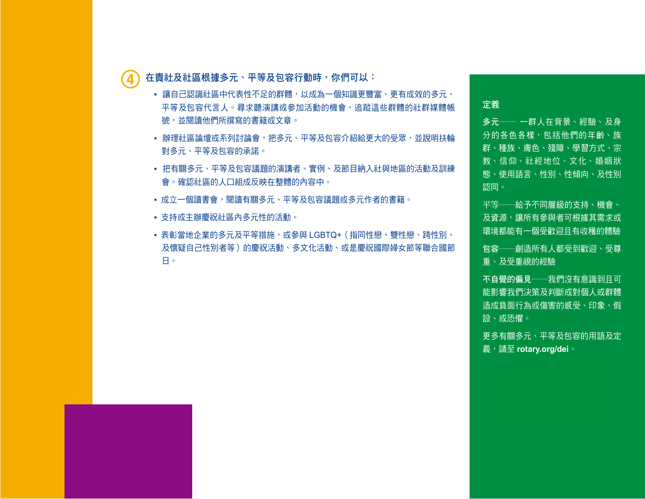在貴社及社區根據多元、平等及包容行動時,你們可以:

- 讓自己認識社區中代表性不足的群體,以成為一個知識更豐富、更有成效的多元、 平等及包容代言人。尋求聽演講或參加活動的機會,追蹤這些群體的社群媒體帳 號,並閱讀他們所撰寫的書籍或文章。 from these groups on social media, and read books or articles that
- 辦理社區論壇或系列討論會,把多元、平等及包容介紹給更大的受眾,並說明扶輪 對多元、平等及包容的承諾。
- 把有關多元、平等及包容議題的演講者、實例、及節目納入社與地區的活動及訓練 會。確認社區的人口組成反映在整體的內容中。
- district events and training meetings. Make sure the demographic of the demographic of  $\frac{1}{2}$ •成立一個讀書會,閱讀有關多元、平等及包容議題或多元作者的書籍。<br>
- 支持或主辦慶祝社區內多元性的活動。
- 表彰當地企業的多元及平等措施,或參與 LGBTQ+(指同性戀、雙性戀、跨性別、 及懷疑自己性別者等 )的慶祝活動、多文化活動、或是慶祝國際婦女節等聯合國節<br>or for participating in  $L_G$  participating in  $L_G$  pride events, multicultural events, multicultural events, or  $n$ 日。

定義のようなので、

多元—— 一群人在背景、經驗、及身 分的各色各樣,包括他們的年齡、族 experiences, and increase the internet.<br>Experiences, and increase the internet 群、種族、膚色、殘障、學習方式、宗<br>-教<sup>、</sup>信仰、社經地位、文化、婚姻狀 態、使用語言、性別、性傾向、及性別 status, culture, marital status, culture, marital status, culture, culture, culture, culture, culture, culture

平等──給予不同層級的支持、機會、 及資源,讓所有參與者可根據其需求或 環境都能有一個受歡迎且有收穫的體驗

 $\epsilon$ resources so all participants have been all participants  $\frac{1}{2}$ 包容──創造所有人都受到歡迎、受尊<br> 重、及受重視的經驗

needs or circumstances 不自覺的偏見──我們沒有意識到且可 能影響我們決策及判斷或對個人或群體 造成負面行為或傷害的感受、印象、假 respected, and valued 設、或恐懼。

Unconscious bias — Feelings, 更多有關多元、平等及包容的用語及定 義,請至 **rotary.org/dei** 。